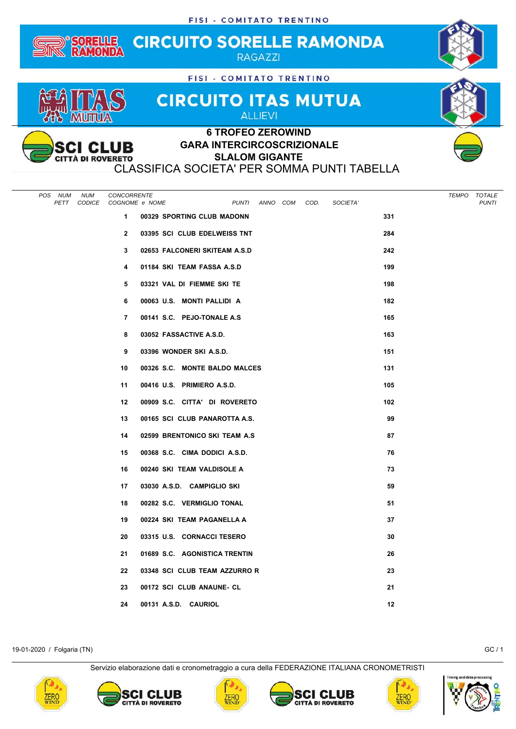

## **SLALOM GIGANTE**

**CITTÀ DI ROVERETO** CLASSIFICA SOCIETA' PER SOMMA PUNTI TABELLA

| POS NUM<br><b>NUM</b><br>PETT | CONCORRENTE<br>CODICE COGNOME e NOME |                                | PUNTI ANNO COM |  | COD. | SOCIETA' |     | TEMPO TOTALE | <b>PUNTI</b> |
|-------------------------------|--------------------------------------|--------------------------------|----------------|--|------|----------|-----|--------------|--------------|
|                               | $\mathbf{1}$                         | 00329 SPORTING CLUB MADONN     |                |  |      |          | 331 |              |              |
|                               | $\mathbf{2}$                         | 03395 SCI CLUB EDELWEISS TNT   |                |  |      |          | 284 |              |              |
|                               | 3                                    | 02653 FALCONERI SKITEAM A.S.D  |                |  |      |          | 242 |              |              |
|                               | 4                                    | 01184 SKI TEAM FASSA A.S.D     |                |  |      |          | 199 |              |              |
|                               | 5                                    | 03321 VAL DI FIEMME SKI TE     |                |  |      |          | 198 |              |              |
|                               | 6                                    | 00063 U.S. MONTI PALLIDI A     |                |  |      |          | 182 |              |              |
|                               | $\overline{7}$                       | 00141 S.C. PEJO-TONALE A.S     |                |  |      |          | 165 |              |              |
|                               | 8                                    | 03052 FASSACTIVE A.S.D.        |                |  |      |          | 163 |              |              |
|                               | 9                                    | 03396 WONDER SKI A.S.D.        |                |  |      |          | 151 |              |              |
|                               | 10                                   | 00326 S.C. MONTE BALDO MALCES  |                |  |      |          | 131 |              |              |
|                               | 11                                   | 00416 U.S. PRIMIERO A.S.D.     |                |  |      |          | 105 |              |              |
|                               | 12                                   | 00909 S.C. CITTA' DI ROVERETO  |                |  |      |          | 102 |              |              |
|                               | 13                                   | 00165 SCI CLUB PANAROTTA A.S.  |                |  |      |          | 99  |              |              |
|                               | 14                                   | 02599 BRENTONICO SKI TEAM A.S. |                |  |      |          | 87  |              |              |
|                               | 15                                   | 00368 S.C. CIMA DODICI A.S.D.  |                |  |      |          | 76  |              |              |
|                               | 16                                   | 00240 SKI TEAM VALDISOLE A     |                |  |      |          | 73  |              |              |
|                               | 17                                   | 03030 A.S.D. CAMPIGLIO SKI     |                |  |      |          | 59  |              |              |
|                               | 18                                   | 00282 S.C. VERMIGLIO TONAL     |                |  |      |          | 51  |              |              |
|                               | 19                                   | 00224 SKI TEAM PAGANELLA A     |                |  |      |          | 37  |              |              |
|                               | 20                                   | 03315 U.S. CORNACCI TESERO     |                |  |      |          | 30  |              |              |
|                               | 21                                   | 01689 S.C. AGONISTICA TRENTIN  |                |  |      |          | 26  |              |              |
|                               | 22                                   | 03348 SCI CLUB TEAM AZZURRO R  |                |  |      |          | 23  |              |              |
|                               | 23                                   | 00172 SCI CLUB ANAUNE- CL      |                |  |      |          | 21  |              |              |
|                               | 24                                   | 00131 A.S.D. CAURIOL           |                |  |      |          | 12  |              |              |

19-01-2020 / Folgaria (TN) GC / 1

Servizio elaborazione dati e cronometraggio a cura della FEDERAZIONE ITALIANA CRONOMETRISTI